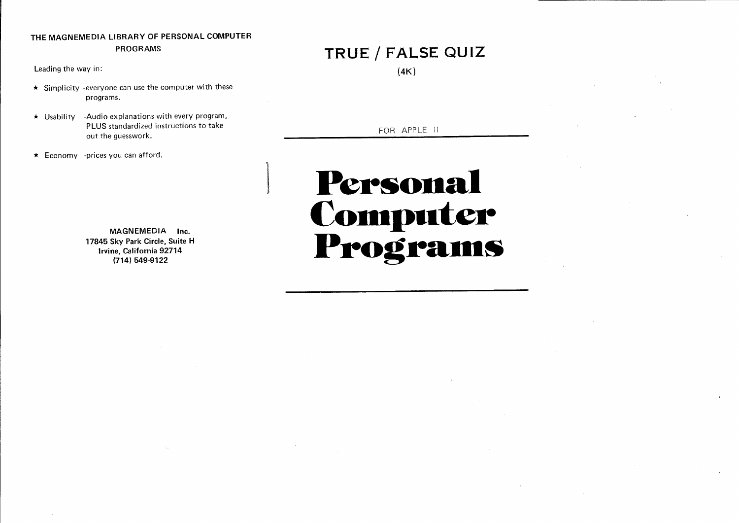### **THE** MAGNEMEDIA LIBRARY OF PERSONAL COMPUTER PROGRAMS

Leading the way in:

- $\star$  Simplicity -everyone can use the computer with these programs.
- $\star$  Usability -Audio explanations with every program, PLUS standardized instructions to take out the guesswork.
- $\star$  Economy -prices you can afford.

MAGNEMEDIA Inc. 17845 Sky Park Circle, Suite H Irvine, California 92714 (714) 549-9122

1

# **TRUE / FALSE QUIZ**

(4K)

FOR APPLE II

# **Personal Computer** Programs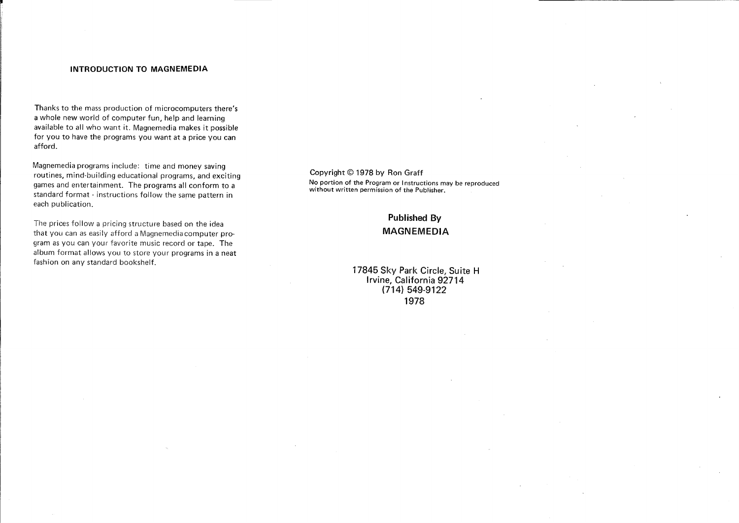#### INTRODUCTION TO MAGNEMEDIA

Thanks to the mass production of microcomputers there's a whole new world of computer fun, help and learning available to all who want it. Magnemedia makes it possible for you to have the programs you want at a price you can afford.

Magnemedia programs include: time and money saving routines, mind-building educational programs, and exciting games and entertainment. The programs all conform to a standard format - instructions follow the same pattern in each publication.

The prices follow a pricing structure based on the idea that you can as easily afford a Magnemedia computer program as you can your favorite music record or tape. The album format allows you to store your programs in a neat fashion on any standard bookshelf.

#### Copyright © 1978 by Ron Graff No portion of the Program or I nstructions may be reproduced without written permission of the Publisher.

## Published By MAGNEMEDIA

17845 Sky Park Circle, Suite H Irvine, California 92714 (714) 549-9122 1978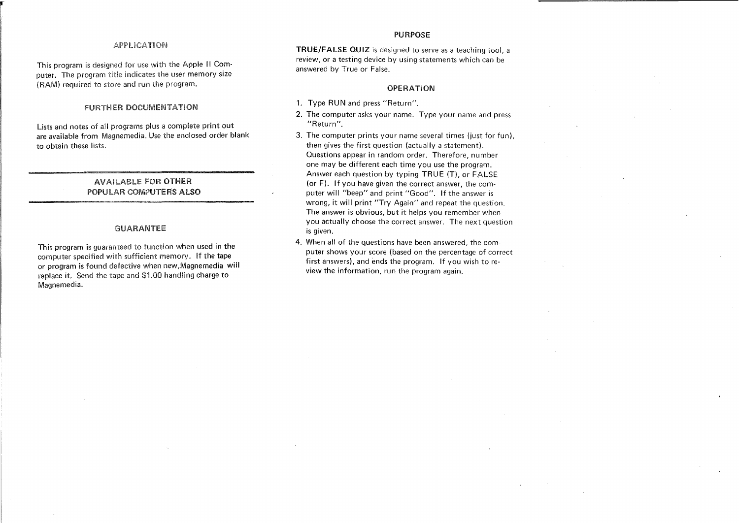#### APPliCATION

This program is designed for use with the Apple II Computer. The program title indicates the user memory size (RAM) required to store and run the program.

#### fURTHER DOCUMENTATION

lists and notes of all programs plus a complete print out are available from Magnemedia. Use the enclosed order blank to obtain these lists.

#### AVAILABLE FOR OTHER POPULAR COMPUTERS ALSO

#### GUARANTEE

This program is guaranteed to function when used in the computer specified with sufficient memory. if the tape or program is found defective when new,Magnemedia will replace it. Send the tape and \$1.00 handling charge to Magnemedia.

#### PURPOSE

**TRUE/FALSE QUIZ** is designed to serve as a teaching tool, a review, or a testing device by using statements which can be answered by True or False.

#### OPERATION

- 1. Type RUN and press "Return".
- 2. The computer asks your name. Type your name and press "Return".
- 3. The computer prints your name several times (just for fun). then gives the first question (actually a statement). Questions appear in random order. Therefore, number one may be different each time you use the program. Answer each question by typing TRUE (T), or FALSE (or F). If you have given the correct answer, the computer will "beep" and print "Good". If the answer is wrong, it will print "Try Again" and repeat the question. The answer is obvious, but it helps you remember when you actually choose the correct answer. The next question is given.
- 4. When all of the questions have been answered, the computer shows your score (based on the percentage of correct first answers), and ends the program. If you wish to review the information, run the program again.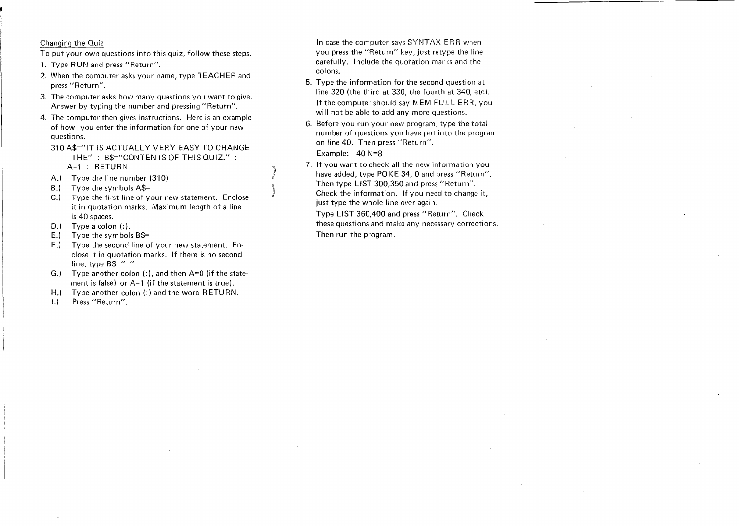#### Changing the Quiz

To put your own questions into this quiz, follow these steps.

- 1. Type RUN and press "Return".
- 2. When the computer asks your name, type TEACHER and press "Return".
- 3. The computer asks how many questions you want to give. Answer by typing the number and pressing "Return".
- 4. The computer then gives instructions. Here is an example of how you enter the information for one of your new questions.
- 310 A\$="IT IS ACTUALLY VERY EASY TO CHANGE THE" : B\$="CONTENTS OF THIS QUIZ." : A=1 : RETURN
- A.) Type the line number (310)
- B.) Type the symbols A\$=
- C.) Type the first line of your new statement. Enclose it in quotation marks. Maximum length of a line is 40 spaces.
- D.) Type a colon (:).
- E.) Type the symbols  $B$ \$=
- F.) Type the second line of your new statement. Enclose it in quotation marks. If there is no second line, type B\$=" "
- G.) Type another colon  $(:)$ , and then  $A=0$  (if the statement is false) or A=1 (if the statement is true).
- H.) Type another colon (:) and the word RETURN.
- I.) Press "Return".

In case the computer says SYNTAX ERR when you press the "Return" key, just retype the line carefully. Include the quotation marks and the colons.

- 5. Type the information for the second question at line 320 (the third at 330, the fourth at 340, etc). If the computer should say MEM FULL ERR, you will not be able to add any more questions.
- 6. Before you run your new program, type the total number of questions you have put into the program on line 40. Then press "Return". Example: 40 N=8
- 7. If you want to check all the new information you have added, type POKE 34, 0 and press "Return". Then type LIST 300,350 and press "Return". Check the information. If you need to change it, just type the whole line over again.

Type LIST 360,400 and press "Return". Check these questions and make any necessary corrections. Then run the program.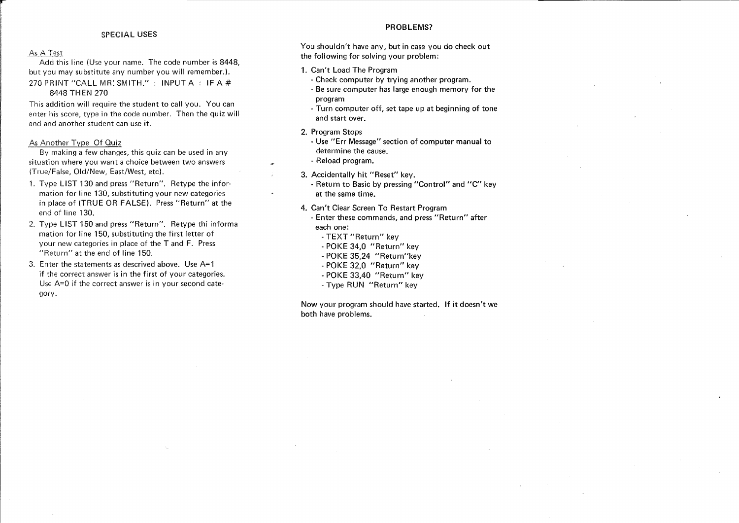#### SPECIAL USES

#### As A Test

Add this line (Use your name. The code number is 8448, but you may substitute any number you will remember.). 270 PRINT "CALL MR' SMITH.": INPUT A: IF A  $#$ 8448 THEN 270

This addition will require the student to call you. You can enter his score, type in the code number. Then the quiz will end and another student can use it.

As Another Type Of Quiz

By making a few changes, this quiz can be used in any situation where you want a choice between two answers (True/False, Old/New, East/West, etc).

- 1. Type LIST 130 and press "Return". Retype the information for line 130, substituting your new categories in place of (TRUE OR FALSE). Press "Return" at the end of line 130.
- 2. Type LIST 150 and press "Return". Retype thi informa mation for line 150, substituting the first letter of your new categories in place of the T and F. Press "Return" at the end of line 150.
- 3. Enter the statements as descrived above. Use A= 1 if the correct answer is in the first of your categories. Use A=O if the correct answer is in your second category.

#### PROBLEMS?

You shouldn't have any, but in case you do check out the following for solving your problem:

- 1. Can't Load The Program
	- Check computer by trying another program.
	- Be sure computer has large enough memory for the program
	- Turn computer off, set tape up at beginning of tone and start over.
- 2. Program Stops
	- Use "Err Message" section of computer manual to determine the cause.
- Reload program.
- 3. Accidentally hit "Reset" key.

- Return to Basic by pressing "Control" and "C" key at the same time.

- 4. Can't Clear Screen To Restart Program
	- Enter these commands, and press "Return" after each one:
		- TEXT "Return" key
		- POKE 34,0 "Return" key
		- POKE 35,24 "Return"key
		- POKE 32,0 "Return" key
		- POKE 33,40 "Return" key
		- Type RUN "Return" key

Now your program should have started. If it doesn't we both have problems.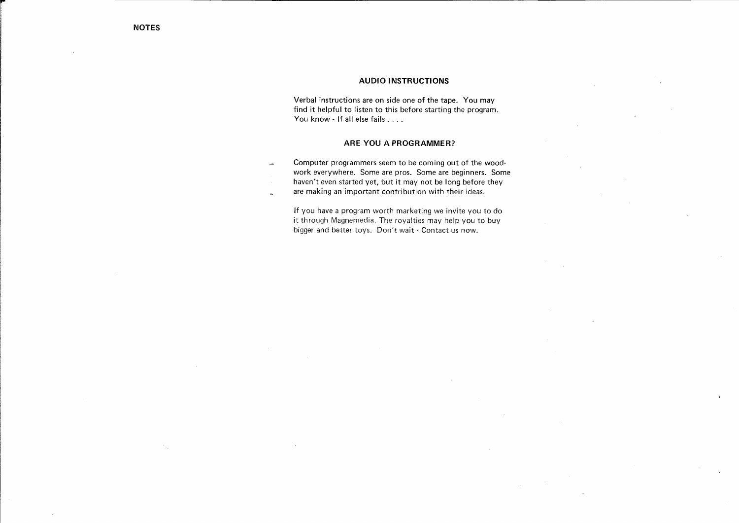#### **AUDIO INSTRUCTIONS**

Verbal instructions are on side one of the tape. You may find it helpful to listen to this before starting the program. You know - If all else fails . . . .

#### **ARE** YOU **A PROGRAMMER?**

Computer programmers seem to be coming out of the wood- $\sim$ work everywhere. Some are pros. Some are beginners. Some haven't even started yet, but it may not be long before they are making an important contribution with their ideas.  $\sim$ 

If you have a program worth marketing we invite you to do it through Magnemedia. The royalties may help you to buy bigger and better toys. Don't wait - Contact us now.